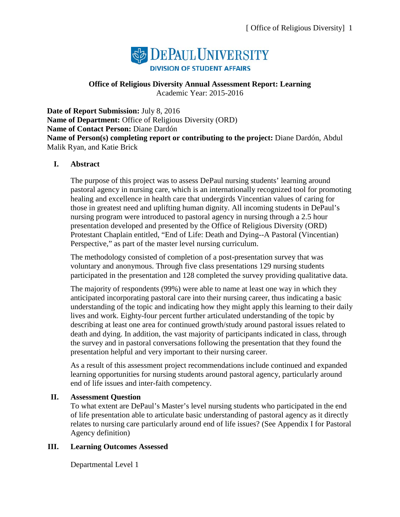

#### **Office of Religious Diversity Annual Assessment Report: Learning** Academic Year: 2015-2016

**Date of Report Submission:** July 8, 2016 **Name of Department:** Office of Religious Diversity (ORD) **Name of Contact Person:** Diane Dardón **Name of Person(s) completing report or contributing to the project:** Diane Dardón, Abdul Malik Ryan, and Katie Brick

### **I. Abstract**

The purpose of this project was to assess DePaul nursing students' learning around pastoral agency in nursing care, which is an internationally recognized tool for promoting healing and excellence in health care that undergirds Vincentian values of caring for those in greatest need and uplifting human dignity. All incoming students in DePaul's nursing program were introduced to pastoral agency in nursing through a 2.5 hour presentation developed and presented by the Office of Religious Diversity (ORD) Protestant Chaplain entitled, "End of Life: Death and Dying--A Pastoral (Vincentian) Perspective," as part of the master level nursing curriculum.

The methodology consisted of completion of a post-presentation survey that was voluntary and anonymous. Through five class presentations 129 nursing students participated in the presentation and 128 completed the survey providing qualitative data.

The majority of respondents (99%) were able to name at least one way in which they anticipated incorporating pastoral care into their nursing career, thus indicating a basic understanding of the topic and indicating how they might apply this learning to their daily lives and work. Eighty-four percent further articulated understanding of the topic by describing at least one area for continued growth/study around pastoral issues related to death and dying. In addition, the vast majority of participants indicated in class, through the survey and in pastoral conversations following the presentation that they found the presentation helpful and very important to their nursing career.

As a result of this assessment project recommendations include continued and expanded learning opportunities for nursing students around pastoral agency, particularly around end of life issues and inter-faith competency.

### **II. Assessment Question**

To what extent are DePaul's Master's level nursing students who participated in the end of life presentation able to articulate basic understanding of pastoral agency as it directly relates to nursing care particularly around end of life issues? (See Appendix I for Pastoral Agency definition)

### **III. Learning Outcomes Assessed**

Departmental Level 1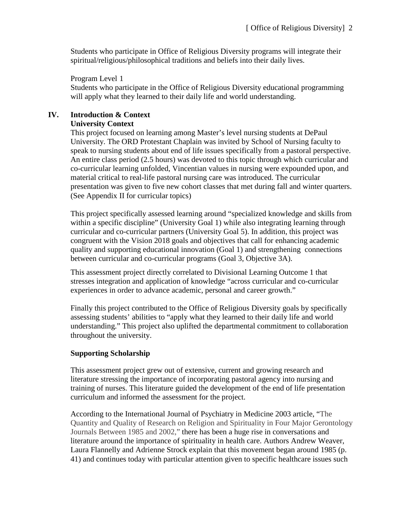Students who participate in Office of Religious Diversity programs will integrate their spiritual/religious/philosophical traditions and beliefs into their daily lives.

Program Level 1

Students who participate in the Office of Religious Diversity educational programming will apply what they learned to their daily life and world understanding.

#### **IV. Introduction & Context University Context**

This project focused on learning among Master's level nursing students at DePaul University. The ORD Protestant Chaplain was invited by School of Nursing faculty to speak to nursing students about end of life issues specifically from a pastoral perspective. An entire class period (2.5 hours) was devoted to this topic through which curricular and co-curricular learning unfolded, Vincentian values in nursing were expounded upon, and material critical to real-life pastoral nursing care was introduced. The curricular presentation was given to five new cohort classes that met during fall and winter quarters. (See Appendix II for curricular topics)

This project specifically assessed learning around "specialized knowledge and skills from within a specific discipline" (University Goal 1) while also integrating learning through curricular and co-curricular partners (University Goal 5). In addition, this project was congruent with the Vision 2018 goals and objectives that call for enhancing academic quality and supporting educational innovation (Goal 1) and strengthening connections between curricular and co-curricular programs (Goal 3, Objective 3A).

This assessment project directly correlated to Divisional Learning Outcome 1 that stresses integration and application of knowledge "across curricular and co-curricular experiences in order to advance academic, personal and career growth."

Finally this project contributed to the Office of Religious Diversity goals by specifically assessing students' abilities to "apply what they learned to their daily life and world understanding." This project also uplifted the departmental commitment to collaboration throughout the university.

### **Supporting Scholarship**

This assessment project grew out of extensive, current and growing research and literature stressing the importance of incorporating pastoral agency into nursing and training of nurses. This literature guided the development of the end of life presentation curriculum and informed the assessment for the project.

According to the International Journal of Psychiatry in Medicine 2003 article, "The Quantity and Quality of Research on Religion and Spirituality in Four Major Gerontology Journals Between 1985 and 2002," there has been a huge rise in conversations and literature around the importance of spirituality in health care. Authors Andrew Weaver, Laura Flannelly and Adrienne Strock explain that this movement began around 1985 (p. 41) and continues today with particular attention given to specific healthcare issues such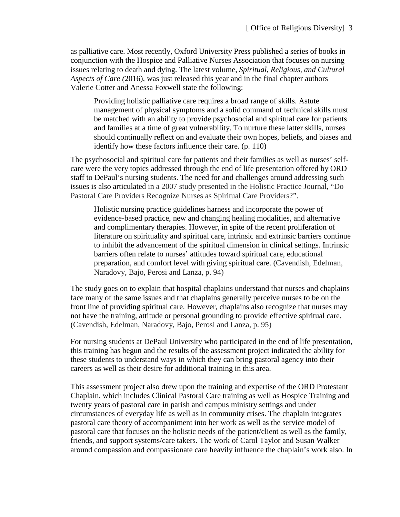as palliative care. Most recently, Oxford University Press published a series of books in conjunction with the Hospice and Palliative Nurses Association that focuses on nursing issues relating to death and dying. The latest volume, *Spiritual, Religious, and Cultural Aspects of Care (*2016), was just released this year and in the final chapter authors Valerie Cotter and Anessa Foxwell state the following:

Providing holistic palliative care requires a broad range of skills. Astute management of physical symptoms and a solid command of technical skills must be matched with an ability to provide psychosocial and spiritual care for patients and families at a time of great vulnerability. To nurture these latter skills, nurses should continually reflect on and evaluate their own hopes, beliefs, and biases and identify how these factors influence their care. (p. 110)

The psychosocial and spiritual care for patients and their families as well as nurses' selfcare were the very topics addressed through the end of life presentation offered by ORD staff to DePaul's nursing students. The need for and challenges around addressing such issues is also articulated in a 2007 study presented in the Holistic Practice Journal, "Do Pastoral Care Providers Recognize Nurses as Spiritual Care Providers?".

Holistic nursing practice guidelines harness and incorporate the power of evidence-based practice, new and changing healing modalities, and alternative and complimentary therapies. However, in spite of the recent proliferation of literature on spirituality and spiritual care, intrinsic and extrinsic barriers continue to inhibit the advancement of the spiritual dimension in clinical settings. Intrinsic barriers often relate to nurses' attitudes toward spiritual care, educational preparation, and comfort level with giving spiritual care. (Cavendish, Edelman, Naradovy, Bajo, Perosi and Lanza, p. 94)

The study goes on to explain that hospital chaplains understand that nurses and chaplains face many of the same issues and that chaplains generally perceive nurses to be on the front line of providing spiritual care. However, chaplains also recognize that nurses may not have the training, attitude or personal grounding to provide effective spiritual care. (Cavendish, Edelman, Naradovy, Bajo, Perosi and Lanza, p. 95)

For nursing students at DePaul University who participated in the end of life presentation, this training has begun and the results of the assessment project indicated the ability for these students to understand ways in which they can bring pastoral agency into their careers as well as their desire for additional training in this area.

This assessment project also drew upon the training and expertise of the ORD Protestant Chaplain, which includes Clinical Pastoral Care training as well as Hospice Training and twenty years of pastoral care in parish and campus ministry settings and under circumstances of everyday life as well as in community crises. The chaplain integrates pastoral care theory of accompaniment into her work as well as the service model of pastoral care that focuses on the holistic needs of the patient/client as well as the family, friends, and support systems/care takers. The work of Carol Taylor and Susan Walker around compassion and compassionate care heavily influence the chaplain's work also. In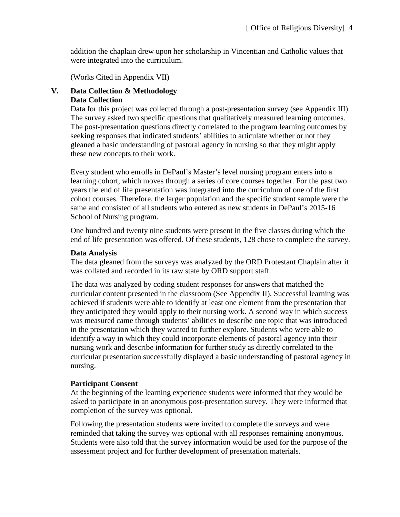addition the chaplain drew upon her scholarship in Vincentian and Catholic values that were integrated into the curriculum.

(Works Cited in Appendix VII)

#### **V. Data Collection & Methodology Data Collection**

Data for this project was collected through a post-presentation survey (see Appendix III). The survey asked two specific questions that qualitatively measured learning outcomes. The post-presentation questions directly correlated to the program learning outcomes by seeking responses that indicated students' abilities to articulate whether or not they gleaned a basic understanding of pastoral agency in nursing so that they might apply these new concepts to their work.

Every student who enrolls in DePaul's Master's level nursing program enters into a learning cohort, which moves through a series of core courses together. For the past two years the end of life presentation was integrated into the curriculum of one of the first cohort courses. Therefore, the larger population and the specific student sample were the same and consisted of all students who entered as new students in DePaul's 2015-16 School of Nursing program.

One hundred and twenty nine students were present in the five classes during which the end of life presentation was offered. Of these students, 128 chose to complete the survey.

#### **Data Analysis**

The data gleaned from the surveys was analyzed by the ORD Protestant Chaplain after it was collated and recorded in its raw state by ORD support staff.

The data was analyzed by coding student responses for answers that matched the curricular content presented in the classroom (See Appendix II). Successful learning was achieved if students were able to identify at least one element from the presentation that they anticipated they would apply to their nursing work. A second way in which success was measured came through students' abilities to describe one topic that was introduced in the presentation which they wanted to further explore. Students who were able to identify a way in which they could incorporate elements of pastoral agency into their nursing work and describe information for further study as directly correlated to the curricular presentation successfully displayed a basic understanding of pastoral agency in nursing.

#### **Participant Consent**

At the beginning of the learning experience students were informed that they would be asked to participate in an anonymous post-presentation survey. They were informed that completion of the survey was optional.

Following the presentation students were invited to complete the surveys and were reminded that taking the survey was optional with all responses remaining anonymous. Students were also told that the survey information would be used for the purpose of the assessment project and for further development of presentation materials.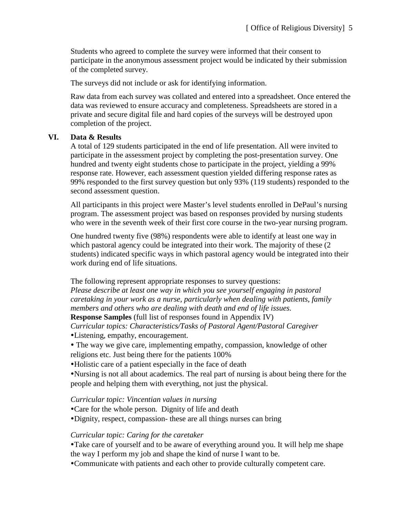Students who agreed to complete the survey were informed that their consent to participate in the anonymous assessment project would be indicated by their submission of the completed survey.

The surveys did not include or ask for identifying information.

Raw data from each survey was collated and entered into a spreadsheet. Once entered the data was reviewed to ensure accuracy and completeness. Spreadsheets are stored in a private and secure digital file and hard copies of the surveys will be destroyed upon completion of the project.

### **VI. Data & Results**

A total of 129 students participated in the end of life presentation. All were invited to participate in the assessment project by completing the post-presentation survey. One hundred and twenty eight students chose to participate in the project, yielding a 99% response rate. However, each assessment question yielded differing response rates as 99% responded to the first survey question but only 93% (119 students) responded to the second assessment question.

All participants in this project were Master's level students enrolled in DePaul's nursing program. The assessment project was based on responses provided by nursing students who were in the seventh week of their first core course in the two-year nursing program.

One hundred twenty five (98%) respondents were able to identify at least one way in which pastoral agency could be integrated into their work. The majority of these (2 students) indicated specific ways in which pastoral agency would be integrated into their work during end of life situations.

The following represent appropriate responses to survey questions:

*Please describe at least one way in which you see yourself engaging in pastoral caretaking in your work as a nurse, particularly when dealing with patients, family members and others who are dealing with death and end of life issues.*

**Response Samples** (full list of responses found in Appendix IV)

*Curricular topics: Characteristics/Tasks of Pastoral Agent/Pastoral Caregiver*

Listening, empathy, encouragement.

- The way we give care, implementing empathy, compassion, knowledge of other religions etc. Just being there for the patients 100%
- Holistic care of a patient especially in the face of death

Nursing is not all about academics. The real part of nursing is about being there for the people and helping them with everything, not just the physical.

*Curricular topic: Vincentian values in nursing*

Care for the whole person. Dignity of life and death

Dignity, respect, compassion- these are all things nurses can bring

# *Curricular topic: Caring for the caretaker*

Take care of yourself and to be aware of everything around you. It will help me shape the way I perform my job and shape the kind of nurse I want to be.

Communicate with patients and each other to provide culturally competent care.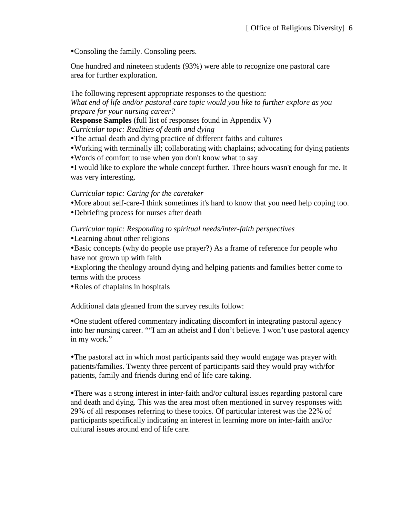Consoling the family. Consoling peers.

One hundred and nineteen students (93%) were able to recognize one pastoral care area for further exploration.

The following represent appropriate responses to the question: *What end of life and/or pastoral care topic would you like to further explore as you prepare for your nursing career?*

**Response Samples** (full list of responses found in Appendix V)

*Curricular topic: Realities of death and dying*

- The actual death and dying practice of different faiths and cultures
- Working with terminally ill; collaborating with chaplains; advocating for dying patients
- Words of comfort to use when you don't know what to say

I would like to explore the whole concept further. Three hours wasn't enough for me. It was very interesting.

### *Curricular topic: Caring for the caretaker*

More about self-care-I think sometimes it's hard to know that you need help coping too.

Debriefing process for nurses after death

*Curricular topic: Responding to spiritual needs/inter-faith perspectives*

Learning about other religions

Basic concepts (why do people use prayer?) As a frame of reference for people who have not grown up with faith

Exploring the theology around dying and helping patients and families better come to terms with the process

Roles of chaplains in hospitals

Additional data gleaned from the survey results follow:

One student offered commentary indicating discomfort in integrating pastoral agency into her nursing career. ""I am an atheist and I don't believe. I won't use pastoral agency in my work."

The pastoral act in which most participants said they would engage was prayer with patients/families. Twenty three percent of participants said they would pray with/for patients, family and friends during end of life care taking.

There was a strong interest in inter-faith and/or cultural issues regarding pastoral care and death and dying. This was the area most often mentioned in survey responses with 29% of all responses referring to these topics. Of particular interest was the 22% of participants specifically indicating an interest in learning more on inter-faith and/or cultural issues around end of life care.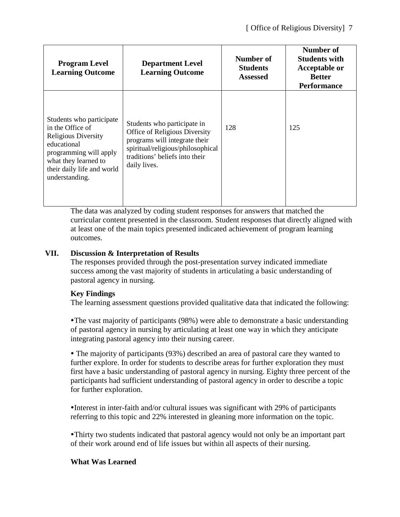| <b>Program Level</b><br><b>Learning Outcome</b>                                                                                                                                             | <b>Department Level</b><br><b>Learning Outcome</b>                                                                                                                                   | Number of<br><b>Students</b><br><b>Assessed</b> | Number of<br><b>Students with</b><br><b>Acceptable or</b><br><b>Better</b><br><b>Performance</b> |
|---------------------------------------------------------------------------------------------------------------------------------------------------------------------------------------------|--------------------------------------------------------------------------------------------------------------------------------------------------------------------------------------|-------------------------------------------------|--------------------------------------------------------------------------------------------------|
| Students who participate<br>in the Office of<br><b>Religious Diversity</b><br>educational<br>programming will apply<br>what they learned to<br>their daily life and world<br>understanding. | Students who participate in<br>Office of Religious Diversity<br>programs will integrate their<br>spiritual/religious/philosophical<br>traditions' beliefs into their<br>daily lives. | 128                                             | 125                                                                                              |

The data was analyzed by coding student responses for answers that matched the curricular content presented in the classroom. Student responses that directly aligned with at least one of the main topics presented indicated achievement of program learning outcomes.

# **VII. Discussion & Interpretation of Results**

The responses provided through the post-presentation survey indicated immediate success among the vast majority of students in articulating a basic understanding of pastoral agency in nursing.

### **Key Findings**

The learning assessment questions provided qualitative data that indicated the following:

The vast majority of participants (98%) were able to demonstrate a basic understanding of pastoral agency in nursing by articulating at least one way in which they anticipate integrating pastoral agency into their nursing career.

 The majority of participants (93%) described an area of pastoral care they wanted to further explore. In order for students to describe areas for further exploration they must first have a basic understanding of pastoral agency in nursing. Eighty three percent of the participants had sufficient understanding of pastoral agency in order to describe a topic for further exploration.

Interest in inter-faith and/or cultural issues was significant with 29% of participants referring to this topic and 22% interested in gleaning more information on the topic.

Thirty two students indicated that pastoral agency would not only be an important part of their work around end of life issues but within all aspects of their nursing.

### **What Was Learned**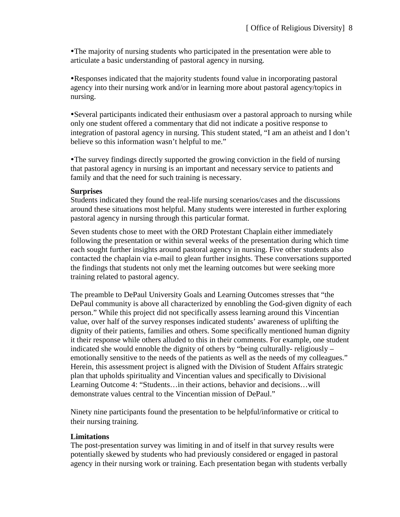The majority of nursing students who participated in the presentation were able to articulate a basic understanding of pastoral agency in nursing.

Responses indicated that the majority students found value in incorporating pastoral agency into their nursing work and/or in learning more about pastoral agency/topics in nursing.

Several participants indicated their enthusiasm over a pastoral approach to nursing while only one student offered a commentary that did not indicate a positive response to integration of pastoral agency in nursing. This student stated, "I am an atheist and I don't believe so this information wasn't helpful to me."

The survey findings directly supported the growing conviction in the field of nursing that pastoral agency in nursing is an important and necessary service to patients and family and that the need for such training is necessary.

#### **Surprises**

Students indicated they found the real-life nursing scenarios/cases and the discussions around these situations most helpful. Many students were interested in further exploring pastoral agency in nursing through this particular format.

Seven students chose to meet with the ORD Protestant Chaplain either immediately following the presentation or within several weeks of the presentation during which time each sought further insights around pastoral agency in nursing. Five other students also contacted the chaplain via e-mail to glean further insights. These conversations supported the findings that students not only met the learning outcomes but were seeking more training related to pastoral agency.

The preamble to DePaul University Goals and Learning Outcomes stresses that "the DePaul community is above all characterized by ennobling the God-given dignity of each person." While this project did not specifically assess learning around this Vincentian value, over half of the survey responses indicated students' awareness of uplifting the dignity of their patients, families and others. Some specifically mentioned human dignity it their response while others alluded to this in their comments. For example, one student indicated she would ennoble the dignity of others by "being culturally- religiously – emotionally sensitive to the needs of the patients as well as the needs of my colleagues." Herein, this assessment project is aligned with the Division of Student Affairs strategic plan that upholds spirituality and Vincentian values and specifically to Divisional Learning Outcome 4: "Students…in their actions, behavior and decisions…will demonstrate values central to the Vincentian mission of DePaul."

Ninety nine participants found the presentation to be helpful/informative or critical to their nursing training.

#### **Limitations**

The post-presentation survey was limiting in and of itself in that survey results were potentially skewed by students who had previously considered or engaged in pastoral agency in their nursing work or training. Each presentation began with students verbally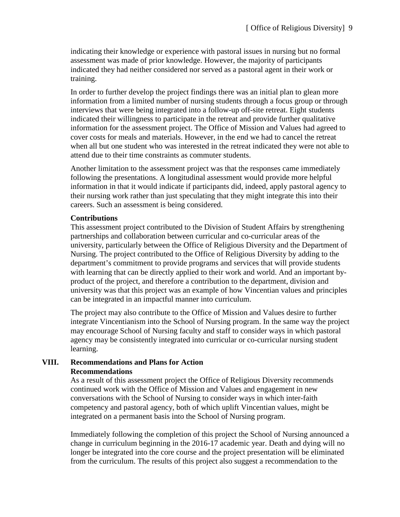indicating their knowledge or experience with pastoral issues in nursing but no formal assessment was made of prior knowledge. However, the majority of participants indicated they had neither considered nor served as a pastoral agent in their work or training.

In order to further develop the project findings there was an initial plan to glean more information from a limited number of nursing students through a focus group or through interviews that were being integrated into a follow-up off-site retreat. Eight students indicated their willingness to participate in the retreat and provide further qualitative information for the assessment project. The Office of Mission and Values had agreed to cover costs for meals and materials. However, in the end we had to cancel the retreat when all but one student who was interested in the retreat indicated they were not able to attend due to their time constraints as commuter students.

Another limitation to the assessment project was that the responses came immediately following the presentations. A longitudinal assessment would provide more helpful information in that it would indicate if participants did, indeed, apply pastoral agency to their nursing work rather than just speculating that they might integrate this into their careers. Such an assessment is being considered.

#### **Contributions**

This assessment project contributed to the Division of Student Affairs by strengthening partnerships and collaboration between curricular and co-curricular areas of the university, particularly between the Office of Religious Diversity and the Department of Nursing. The project contributed to the Office of Religious Diversity by adding to the department's commitment to provide programs and services that will provide students with learning that can be directly applied to their work and world. And an important byproduct of the project, and therefore a contribution to the department, division and university was that this project was an example of how Vincentian values and principles can be integrated in an impactful manner into curriculum.

The project may also contribute to the Office of Mission and Values desire to further integrate Vincentianism into the School of Nursing program. In the same way the project may encourage School of Nursing faculty and staff to consider ways in which pastoral agency may be consistently integrated into curricular or co-curricular nursing student learning.

#### **VIII. Recommendations and Plans for Action Recommendations**

As a result of this assessment project the Office of Religious Diversity recommends continued work with the Office of Mission and Values and engagement in new conversations with the School of Nursing to consider ways in which inter-faith competency and pastoral agency, both of which uplift Vincentian values, might be integrated on a permanent basis into the School of Nursing program.

Immediately following the completion of this project the School of Nursing announced a change in curriculum beginning in the 2016-17 academic year. Death and dying will no longer be integrated into the core course and the project presentation will be eliminated from the curriculum. The results of this project also suggest a recommendation to the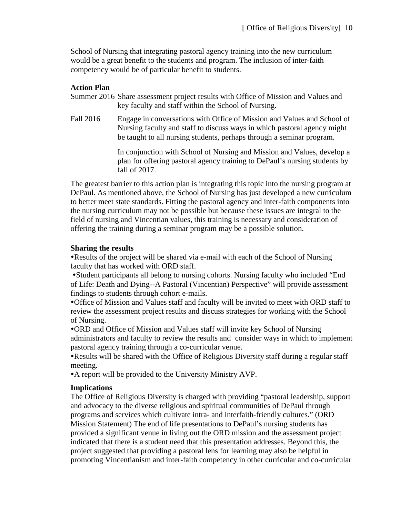School of Nursing that integrating pastoral agency training into the new curriculum would be a great benefit to the students and program. The inclusion of inter-faith competency would be of particular benefit to students.

### **Action Plan**

Summer 2016 Share assessment project results with Office of Mission and Values and key faculty and staff within the School of Nursing.

Fall 2016 Engage in conversations with Office of Mission and Values and School of Nursing faculty and staff to discuss ways in which pastoral agency might be taught to all nursing students, perhaps through a seminar program.

> In conjunction with School of Nursing and Mission and Values, develop a plan for offering pastoral agency training to DePaul's nursing students by fall of 2017.

The greatest barrier to this action plan is integrating this topic into the nursing program at DePaul. As mentioned above, the School of Nursing has just developed a new curriculum to better meet state standards. Fitting the pastoral agency and inter-faith components into the nursing curriculum may not be possible but because these issues are integral to the field of nursing and Vincentian values, this training is necessary and consideration of offering the training during a seminar program may be a possible solution.

#### **Sharing the results**

Results of the project will be shared via e-mail with each of the School of Nursing faculty that has worked with ORD staff.

Student participants all belong to nursing cohorts. Nursing faculty who included "End of Life: Death and Dying--A Pastoral (Vincentian) Perspective" will provide assessment findings to students through cohort e-mails.

Office of Mission and Values staff and faculty will be invited to meet with ORD staff to review the assessment project results and discuss strategies for working with the School of Nursing.

ORD and Office of Mission and Values staff will invite key School of Nursing administrators and faculty to review the results and consider ways in which to implement pastoral agency training through a co-curricular venue.

Results will be shared with the Office of Religious Diversity staff during a regular staff meeting.

A report will be provided to the University Ministry AVP.

#### **Implications**

The Office of Religious Diversity is charged with providing "pastoral leadership, support and advocacy to the diverse religious and spiritual communities of DePaul through programs and services which cultivate intra- and interfaith-friendly cultures." (ORD Mission Statement) The end of life presentations to DePaul's nursing students has provided a significant venue in living out the ORD mission and the assessment project indicated that there is a student need that this presentation addresses. Beyond this, the project suggested that providing a pastoral lens for learning may also be helpful in promoting Vincentianism and inter-faith competency in other curricular and co-curricular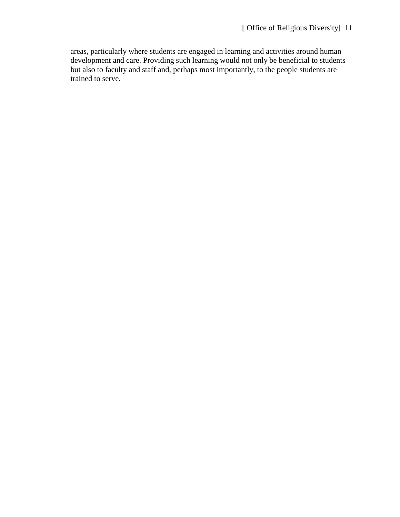areas, particularly where students are engaged in learning and activities around human development and care. Providing such learning would not only be beneficial to students but also to faculty and staff and, perhaps most importantly, to the people students are trained to serve.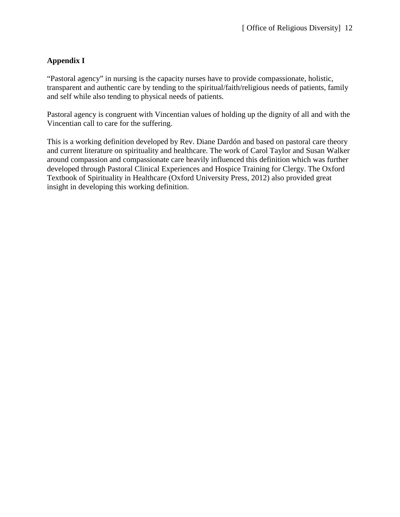# **Appendix I**

"Pastoral agency" in nursing is the capacity nurses have to provide compassionate, holistic, transparent and authentic care by tending to the spiritual/faith/religious needs of patients, family and self while also tending to physical needs of patients.

Pastoral agency is congruent with Vincentian values of holding up the dignity of all and with the Vincentian call to care for the suffering.

This is a working definition developed by Rev. Diane Dardón and based on pastoral care theory and current literature on spirituality and healthcare. The work of Carol Taylor and Susan Walker around compassion and compassionate care heavily influenced this definition which was further developed through Pastoral Clinical Experiences and Hospice Training for Clergy. The Oxford Textbook of Spirituality in Healthcare (Oxford University Press, 2012) also provided great insight in developing this working definition.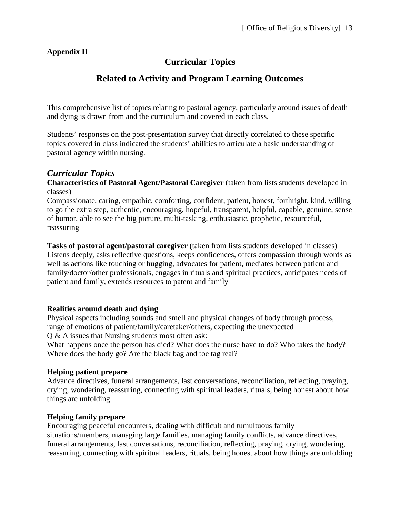# **Appendix II**

# **Curricular Topics**

# **Related to Activity and Program Learning Outcomes**

This comprehensive list of topics relating to pastoral agency, particularly around issues of death and dying is drawn from and the curriculum and covered in each class.

Students' responses on the post-presentation survey that directly correlated to these specific topics covered in class indicated the students' abilities to articulate a basic understanding of pastoral agency within nursing.

# *Curricular Topics*

**Characteristics of Pastoral Agent/Pastoral Caregiver** (taken from lists students developed in classes)

Compassionate, caring, empathic, comforting, confident, patient, honest, forthright, kind, willing to go the extra step, authentic, encouraging, hopeful, transparent, helpful, capable, genuine, sense of humor, able to see the big picture, multi-tasking, enthusiastic, prophetic, resourceful, reassuring

**Tasks of pastoral agent/pastoral caregiver** (taken from lists students developed in classes) Listens deeply, asks reflective questions, keeps confidences, offers compassion through words as well as actions like touching or hugging, advocates for patient, mediates between patient and family/doctor/other professionals, engages in rituals and spiritual practices, anticipates needs of patient and family, extends resources to patent and family

### **Realities around death and dying**

Physical aspects including sounds and smell and physical changes of body through process, range of emotions of patient/family/caretaker/others, expecting the unexpected Q & A issues that Nursing students most often ask:

What happens once the person has died? What does the nurse have to do? Who takes the body? Where does the body go? Are the black bag and toe tag real?

### **Helping patient prepare**

Advance directives, funeral arrangements, last conversations, reconciliation, reflecting, praying, crying, wondering, reassuring, connecting with spiritual leaders, rituals, being honest about how things are unfolding

### **Helping family prepare**

Encouraging peaceful encounters, dealing with difficult and tumultuous family situations/members, managing large families, managing family conflicts, advance directives, funeral arrangements, last conversations, reconciliation, reflecting, praying, crying, wondering, reassuring, connecting with spiritual leaders, rituals, being honest about how things are unfolding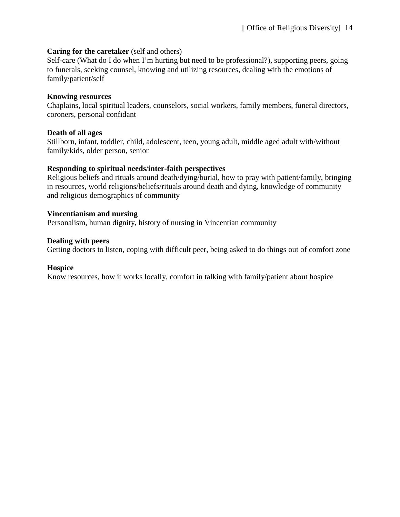#### **Caring for the caretaker** (self and others)

Self-care (What do I do when I'm hurting but need to be professional?), supporting peers, going to funerals, seeking counsel, knowing and utilizing resources, dealing with the emotions of family/patient/self

#### **Knowing resources**

Chaplains, local spiritual leaders, counselors, social workers, family members, funeral directors, coroners, personal confidant

#### **Death of all ages**

Stillborn, infant, toddler, child, adolescent, teen, young adult, middle aged adult with/without family/kids, older person, senior

### **Responding to spiritual needs**/**inter-faith perspectives**

Religious beliefs and rituals around death/dying/burial, how to pray with patient/family, bringing in resources, world religions/beliefs/rituals around death and dying, knowledge of community and religious demographics of community

### **Vincentianism and nursing**

Personalism, human dignity, history of nursing in Vincentian community

### **Dealing with peers**

Getting doctors to listen, coping with difficult peer, being asked to do things out of comfort zone

#### **Hospice**

Know resources, how it works locally, comfort in talking with family/patient about hospice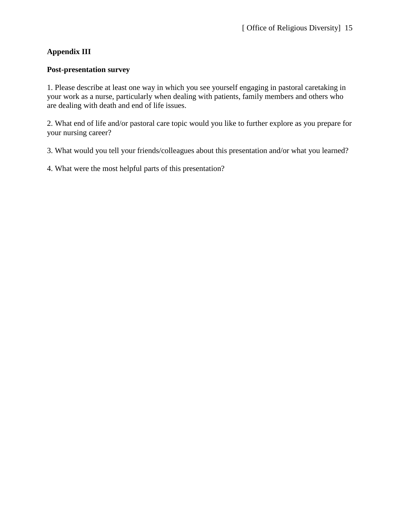# **Appendix III**

### **Post-presentation survey**

1. Please describe at least one way in which you see yourself engaging in pastoral caretaking in your work as a nurse, particularly when dealing with patients, family members and others who are dealing with death and end of life issues.

2. What end of life and/or pastoral care topic would you like to further explore as you prepare for your nursing career?

3. What would you tell your friends/colleagues about this presentation and/or what you learned?

4. What were the most helpful parts of this presentation?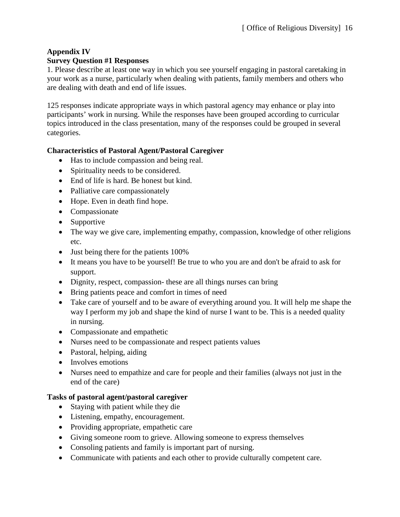### **Appendix IV Survey Question #1 Responses**

1. Please describe at least one way in which you see yourself engaging in pastoral caretaking in your work as a nurse, particularly when dealing with patients, family members and others who are dealing with death and end of life issues.

125 responses indicate appropriate ways in which pastoral agency may enhance or play into participants' work in nursing. While the responses have been grouped according to curricular topics introduced in the class presentation, many of the responses could be grouped in several categories.

# **Characteristics of Pastoral Agent/Pastoral Caregiver**

- Has to include compassion and being real.
- Spirituality needs to be considered.
- End of life is hard. Be honest but kind.
- Palliative care compassionately
- Hope. Even in death find hope.
- Compassionate
- Supportive
- The way we give care, implementing empathy, compassion, knowledge of other religions etc.
- Just being there for the patients 100%
- It means you have to be yourself! Be true to who you are and don't be afraid to ask for support.
- Dignity, respect, compassion- these are all things nurses can bring
- Bring patients peace and comfort in times of need
- Take care of yourself and to be aware of everything around you. It will help me shape the way I perform my job and shape the kind of nurse I want to be. This is a needed quality in nursing.
- Compassionate and empathetic
- Nurses need to be compassionate and respect patients values
- Pastoral, helping, aiding
- Involves emotions
- Nurses need to empathize and care for people and their families (always not just in the end of the care)

# **Tasks of pastoral agent/pastoral caregiver**

- Staying with patient while they die
- Listening, empathy, encouragement.
- Providing appropriate, empathetic care
- Giving someone room to grieve. Allowing someone to express themselves
- Consoling patients and family is important part of nursing.
- Communicate with patients and each other to provide culturally competent care.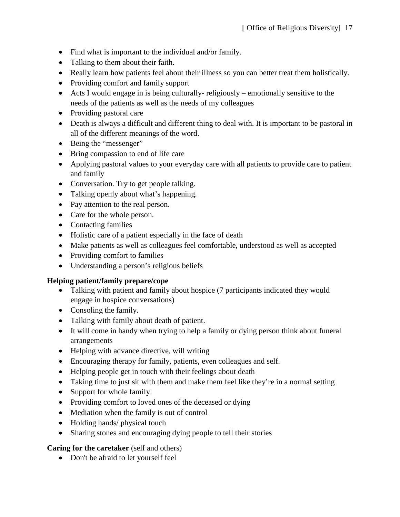- Find what is important to the individual and/or family.
- Talking to them about their faith.
- Really learn how patients feel about their illness so you can better treat them holistically.
- Providing comfort and family support
- Acts I would engage in is being culturally- religiously emotionally sensitive to the needs of the patients as well as the needs of my colleagues
- Providing pastoral care
- Death is always a difficult and different thing to deal with. It is important to be pastoral in all of the different meanings of the word.
- Being the "messenger"
- Bring compassion to end of life care
- Applying pastoral values to your everyday care with all patients to provide care to patient and family
- Conversation. Try to get people talking.
- Talking openly about what's happening.
- Pay attention to the real person.
- Care for the whole person.
- Contacting families
- Holistic care of a patient especially in the face of death
- Make patients as well as colleagues feel comfortable, understood as well as accepted
- Providing comfort to families
- Understanding a person's religious beliefs

### **Helping patient/family prepare/cope**

- Talking with patient and family about hospice (7 participants indicated they would engage in hospice conversations)
- Consoling the family.
- Talking with family about death of patient.
- It will come in handy when trying to help a family or dying person think about funeral arrangements
- Helping with advance directive, will writing
- Encouraging therapy for family, patients, even colleagues and self.
- Helping people get in touch with their feelings about death
- Taking time to just sit with them and make them feel like they're in a normal setting
- Support for whole family.
- Providing comfort to loved ones of the deceased or dying
- Mediation when the family is out of control
- Holding hands/ physical touch
- Sharing stones and encouraging dying people to tell their stories

### **Caring for the caretaker** (self and others)

• Don't be afraid to let yourself feel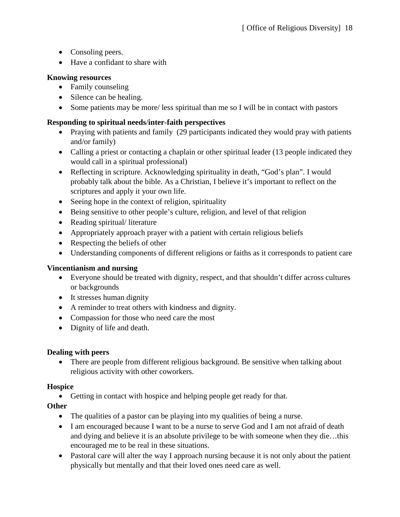- Consoling peers.
- Have a confidant to share with

# **Knowing resources**

- Family counseling
- Silence can be healing.
- Some patients may be more/less spiritual than me so I will be in contact with pastors

# **Responding to spiritual needs**/**inter-faith perspectives**

- Praying with patients and family (29 participants indicated they would pray with patients and/or family)
- Calling a priest or contacting a chaplain or other spiritual leader (13 people indicated they would call in a spiritual professional)
- Reflecting in scripture. Acknowledging spirituality in death, "God's plan". I would probably talk about the bible. As a Christian, I believe it's important to reflect on the scriptures and apply it your own life.
- Seeing hope in the context of religion, spirituality
- Being sensitive to other people's culture, religion, and level of that religion
- Reading spiritual/literature
- Appropriately approach prayer with a patient with certain religious beliefs
- Respecting the beliefs of other
- Understanding components of different religions or faiths as it corresponds to patient care

# **Vincentianism and nursing**

- Everyone should be treated with dignity, respect, and that shouldn't differ across cultures or backgrounds
- It stresses human dignity
- A reminder to treat others with kindness and dignity.
- Compassion for those who need care the most
- Dignity of life and death.

# **Dealing with peers**

• There are people from different religious background. Be sensitive when talking about religious activity with other coworkers.

# **Hospice**

• Getting in contact with hospice and helping people get ready for that.

# **Other**

- The qualities of a pastor can be playing into my qualities of being a nurse.
- I am encouraged because I want to be a nurse to serve God and I am not afraid of death and dying and believe it is an absolute privilege to be with someone when they die…this encouraged me to be real in these situations.
- Pastoral care will alter the way I approach nursing because it is not only about the patient physically but mentally and that their loved ones need care as well.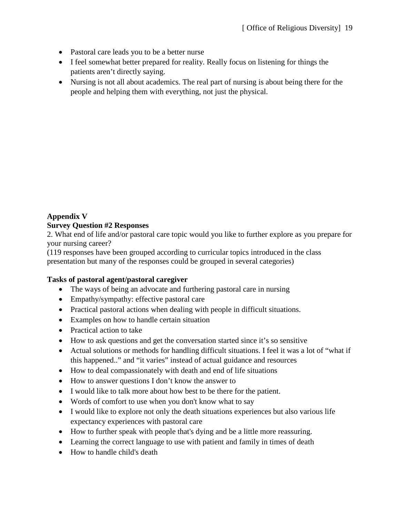- Pastoral care leads you to be a better nurse
- I feel somewhat better prepared for reality. Really focus on listening for things the patients aren't directly saying.
- Nursing is not all about academics. The real part of nursing is about being there for the people and helping them with everything, not just the physical.

# **Appendix V**

### **Survey Question #2 Responses**

2. What end of life and/or pastoral care topic would you like to further explore as you prepare for your nursing career?

(119 responses have been grouped according to curricular topics introduced in the class presentation but many of the responses could be grouped in several categories)

### **Tasks of pastoral agent/pastoral caregiver**

- The ways of being an advocate and furthering pastoral care in nursing
- Empathy/sympathy: effective pastoral care
- Practical pastoral actions when dealing with people in difficult situations.
- Examples on how to handle certain situation
- Practical action to take
- How to ask questions and get the conversation started since it's so sensitive
- Actual solutions or methods for handling difficult situations. I feel it was a lot of "what if this happened.." and "it varies" instead of actual guidance and resources
- How to deal compassionately with death and end of life situations
- How to answer questions I don't know the answer to
- I would like to talk more about how best to be there for the patient.
- Words of comfort to use when you don't know what to say
- I would like to explore not only the death situations experiences but also various life expectancy experiences with pastoral care
- How to further speak with people that's dying and be a little more reassuring.
- Learning the correct language to use with patient and family in times of death
- How to handle child's death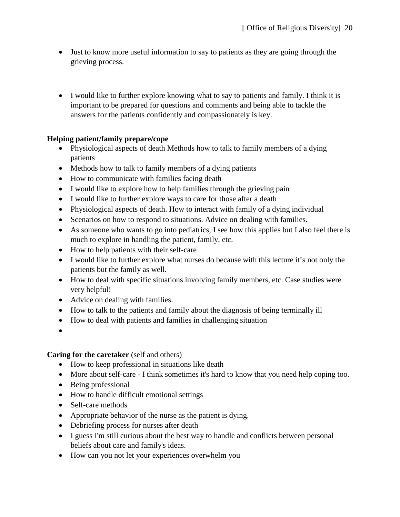- Just to know more useful information to say to patients as they are going through the grieving process.
- I would like to further explore knowing what to say to patients and family. I think it is important to be prepared for questions and comments and being able to tackle the answers for the patients confidently and compassionately is key.

# **Helping patient/family prepare/cope**

- Physiological aspects of death Methods how to talk to family members of a dying patients
- Methods how to talk to family members of a dying patients
- How to communicate with families facing death
- I would like to explore how to help families through the grieving pain
- I would like to further explore ways to care for those after a death
- Physiological aspects of death. How to interact with family of a dying individual
- Scenarios on how to respond to situations. Advice on dealing with families.
- As some one who wants to go into pediatrics, I see how this applies but I also feel there is much to explore in handling the patient, family, etc.
- How to help patients with their self-care
- I would like to further explore what nurses do because with this lecture it's not only the patients but the family as well.
- How to deal with specific situations involving family members, etc. Case studies were very helpful!
- Advice on dealing with families.
- How to talk to the patients and family about the diagnosis of being terminally ill
- How to deal with patients and families in challenging situation
- •

# **Caring for the caretaker** (self and others)

- How to keep professional in situations like death
- More about self-care I think sometimes it's hard to know that you need help coping too.
- Being professional
- How to handle difficult emotional settings
- Self-care methods
- Appropriate behavior of the nurse as the patient is dying.
- Debriefing process for nurses after death
- I guess I'm still curious about the best way to handle and conflicts between personal beliefs about care and family's ideas.
- How can you not let your experiences overwhelm you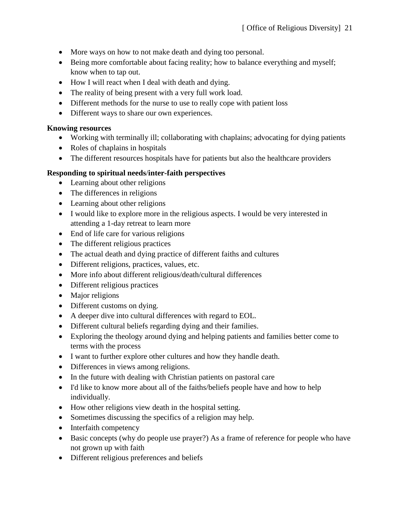- More ways on how to not make death and dying too personal.
- Being more comfortable about facing reality; how to balance everything and myself; know when to tap out.
- How I will react when I deal with death and dying.
- The reality of being present with a very full work load.
- Different methods for the nurse to use to really cope with patient loss
- Different ways to share our own experiences.

### **Knowing resources**

- Working with terminally ill; collaborating with chaplains; advocating for dying patients
- Roles of chaplains in hospitals
- The different resources hospitals have for patients but also the healthcare providers

# **Responding to spiritual needs**/**inter-faith perspectives**

- Learning about other religions
- The differences in religions
- Learning about other religions
- I would like to explore more in the religious aspects. I would be very interested in attending a 1-day retreat to learn more
- End of life care for various religions
- The different religious practices
- The actual death and dying practice of different faiths and cultures
- Different religions, practices, values, etc.
- More info about different religious/death/cultural differences
- Different religious practices
- Major religions
- Different customs on dying.
- A deeper dive into cultural differences with regard to EOL.
- Different cultural beliefs regarding dying and their families.
- Exploring the theology around dying and helping patients and families better come to terms with the process
- I want to further explore other cultures and how they handle death.
- Differences in views among religions.
- In the future with dealing with Christian patients on pastoral care
- I'd like to know more about all of the faiths/beliefs people have and how to help individually.
- How other religions view death in the hospital setting.
- Sometimes discussing the specifics of a religion may help.
- Interfaith competency
- Basic concepts (why do people use prayer?) As a frame of reference for people who have not grown up with faith
- Different religious preferences and beliefs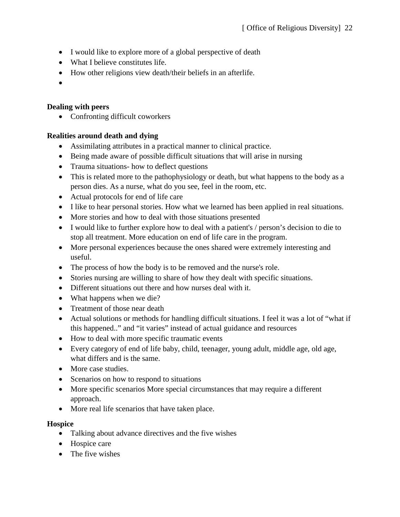- I would like to explore more of a global perspective of death
- What I believe constitutes life.
- How other religions view death/their beliefs in an afterlife.
- •

# **Dealing with peers**

• Confronting difficult coworkers

# **Realities around death and dying**

- Assimilating attributes in a practical manner to clinical practice.
- Being made aware of possible difficult situations that will arise in nursing
- Trauma situations- how to deflect questions
- This is related more to the pathophysiology or death, but what happens to the body as a person dies. As a nurse, what do you see, feel in the room, etc.
- Actual protocols for end of life care
- I like to hear personal stories. How what we learned has been applied in real situations.
- More stories and how to deal with those situations presented
- I would like to further explore how to deal with a patient's / person's decision to die to stop all treatment. More education on end of life care in the program.
- More personal experiences because the ones shared were extremely interesting and useful.
- The process of how the body is to be removed and the nurse's role.
- Stories nursing are willing to share of how they dealt with specific situations.
- Different situations out there and how nurses deal with it.
- What happens when we die?
- Treatment of those near death
- Actual solutions or methods for handling difficult situations. I feel it was a lot of "what if this happened.." and "it varies" instead of actual guidance and resources
- How to deal with more specific traumatic events
- Every category of end of life baby, child, teenager, young adult, middle age, old age, what differs and is the same.
- More case studies.
- Scenarios on how to respond to situations
- More specific scenarios More special circumstances that may require a different approach.
- More real life scenarios that have taken place.

### **Hospice**

- Talking about advance directives and the five wishes
- Hospice care
- The five wishes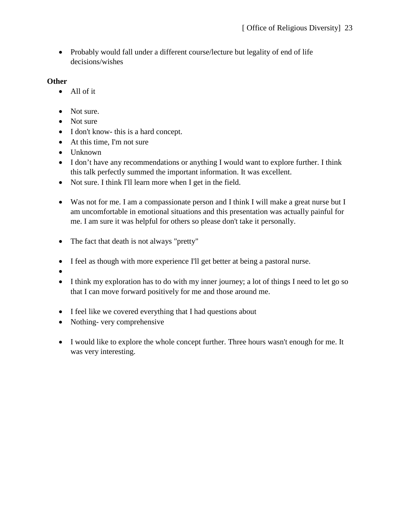• Probably would fall under a different course/lecture but legality of end of life decisions/wishes

## **Other**

- All of it
- Not sure.
- Not sure
- I don't know- this is a hard concept.
- At this time, I'm not sure
- Unknown
- I don't have any recommendations or anything I would want to explore further. I think this talk perfectly summed the important information. It was excellent.
- Not sure. I think I'll learn more when I get in the field.
- Was not for me. I am a compassionate person and I think I will make a great nurse but I am uncomfortable in emotional situations and this presentation was actually painful for me. I am sure it was helpful for others so please don't take it personally.
- The fact that death is not always "pretty"
- I feel as though with more experience I'll get better at being a pastoral nurse.
- •
- I think my exploration has to do with my inner journey; a lot of things I need to let go so that I can move forward positively for me and those around me.
- I feel like we covered everything that I had questions about
- Nothing- very comprehensive
- I would like to explore the whole concept further. Three hours wasn't enough for me. It was very interesting.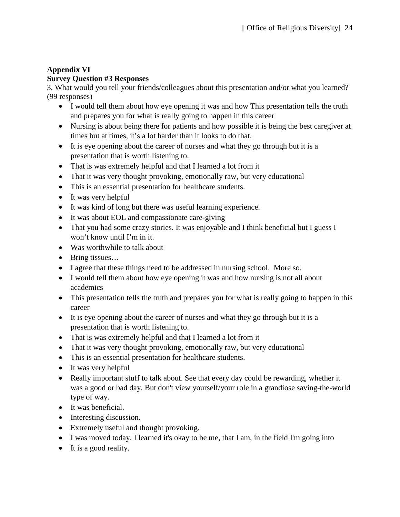# **Appendix VI Survey Question #3 Responses**

3. What would you tell your friends/colleagues about this presentation and/or what you learned? (99 responses)

- I would tell them about how eye opening it was and how This presentation tells the truth and prepares you for what is really going to happen in this career
- Nursing is about being there for patients and how possible it is being the best caregiver at times but at times, it's a lot harder than it looks to do that.
- It is eye opening about the career of nurses and what they go through but it is a presentation that is worth listening to.
- That is was extremely helpful and that I learned a lot from it
- That it was very thought provoking, emotionally raw, but very educational
- This is an essential presentation for healthcare students.
- It was very helpful
- It was kind of long but there was useful learning experience.
- It was about EOL and compassionate care-giving
- That you had some crazy stories. It was enjoyable and I think beneficial but I guess I won't know until I'm in it.
- Was worthwhile to talk about
- Bring tissues…
- I agree that these things need to be addressed in nursing school. More so.
- I would tell them about how eye opening it was and how nursing is not all about academics
- This presentation tells the truth and prepares you for what is really going to happen in this career
- It is eye opening about the career of nurses and what they go through but it is a presentation that is worth listening to.
- That is was extremely helpful and that I learned a lot from it
- That it was very thought provoking, emotionally raw, but very educational
- This is an essential presentation for healthcare students.
- It was very helpful
- Really important stuff to talk about. See that every day could be rewarding, whether it was a good or bad day. But don't view yourself/your role in a grandiose saving-the-world type of way.
- It was beneficial.
- Interesting discussion.
- Extremely useful and thought provoking.
- I was moved today. I learned it's okay to be me, that I am, in the field I'm going into
- It is a good reality.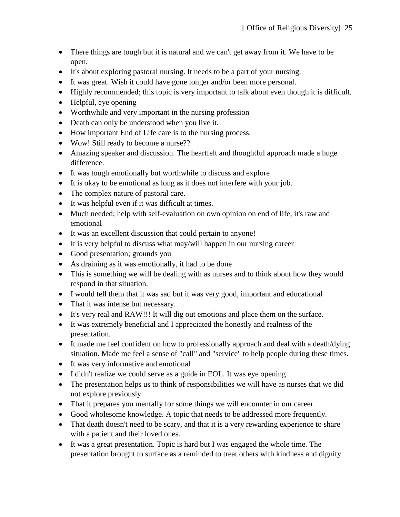- There things are tough but it is natural and we can't get away from it. We have to be open.
- It's about exploring pastoral nursing. It needs to be a part of your nursing.
- It was great. Wish it could have gone longer and/or been more personal.
- Highly recommended; this topic is very important to talk about even though it is difficult.
- Helpful, eye opening
- Worthwhile and very important in the nursing profession
- Death can only be understood when you live it.
- How important End of Life care is to the nursing process.
- Wow! Still ready to become a nurse??
- Amazing speaker and discussion. The heartfelt and thoughtful approach made a huge difference.
- It was tough emotionally but worthwhile to discuss and explore
- It is okay to be emotional as long as it does not interfere with your job.
- The complex nature of pastoral care.
- It was helpful even if it was difficult at times.
- Much needed; help with self-evaluation on own opinion on end of life; it's raw and emotional
- It was an excellent discussion that could pertain to anyone!
- It is very helpful to discuss what may/will happen in our nursing career
- Good presentation; grounds you
- As draining as it was emotionally, it had to be done
- This is something we will be dealing with as nurses and to think about how they would respond in that situation.
- I would tell them that it was sad but it was very good, important and educational
- That it was intense but necessary.
- It's very real and RAW!!! It will dig out emotions and place them on the surface.
- It was extremely beneficial and I appreciated the honestly and realness of the presentation.
- It made me feel confident on how to professionally approach and deal with a death/dying situation. Made me feel a sense of "call" and "service" to help people during these times.
- It was very informative and emotional
- I didn't realize we could serve as a guide in EOL. It was eye opening
- The presentation helps us to think of responsibilities we will have as nurses that we did not explore previously.
- That it prepares you mentally for some things we will encounter in our career.
- Good wholesome knowledge. A topic that needs to be addressed more frequently.
- That death doesn't need to be scary, and that it is a very rewarding experience to share with a patient and their loved ones.
- It was a great presentation. Topic is hard but I was engaged the whole time. The presentation brought to surface as a reminded to treat others with kindness and dignity.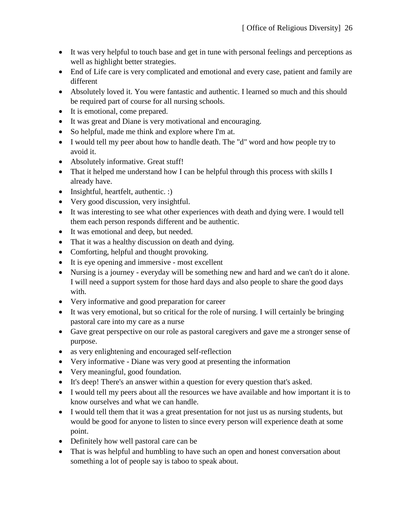- It was very helpful to touch base and get in tune with personal feelings and perceptions as well as highlight better strategies.
- End of Life care is very complicated and emotional and every case, patient and family are different
- Absolutely loved it. You were fantastic and authentic. I learned so much and this should be required part of course for all nursing schools.
- It is emotional, come prepared.
- It was great and Diane is very motivational and encouraging.
- So helpful, made me think and explore where I'm at.
- I would tell my peer about how to handle death. The "d" word and how people try to avoid it.
- Absolutely informative. Great stuff!
- That it helped me understand how I can be helpful through this process with skills I already have.
- Insightful, heartfelt, authentic. :)
- Very good discussion, very insightful.
- It was interesting to see what other experiences with death and dying were. I would tell them each person responds different and be authentic.
- It was emotional and deep, but needed.
- That it was a healthy discussion on death and dying.
- Comforting, helpful and thought provoking.
- It is eye opening and immersive most excellent
- Nursing is a journey everyday will be something new and hard and we can't do it alone. I will need a support system for those hard days and also people to share the good days with.
- Very informative and good preparation for career
- It was very emotional, but so critical for the role of nursing. I will certainly be bringing pastoral care into my care as a nurse
- Gave great perspective on our role as pastoral caregivers and gave me a stronger sense of purpose.
- as very enlightening and encouraged self-reflection
- Very informative Diane was very good at presenting the information
- Very meaningful, good foundation.
- It's deep! There's an answer within a question for every question that's asked.
- I would tell my peers about all the resources we have available and how important it is to know ourselves and what we can handle.
- I would tell them that it was a great presentation for not just us as nursing students, but would be good for anyone to listen to since every person will experience death at some point.
- Definitely how well pastoral care can be
- That is was helpful and humbling to have such an open and honest conversation about something a lot of people say is taboo to speak about.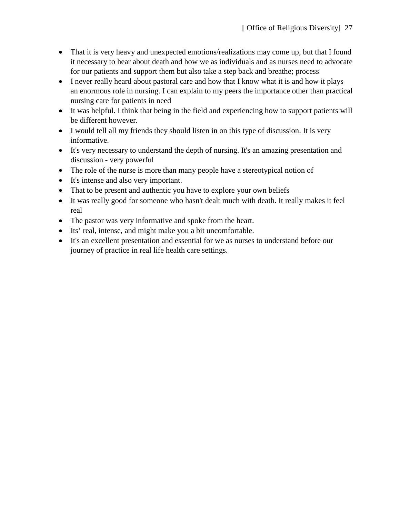- That it is very heavy and unexpected emotions/realizations may come up, but that I found it necessary to hear about death and how we as individuals and as nurses need to advocate for our patients and support them but also take a step back and breathe; process
- I never really heard about pastoral care and how that I know what it is and how it plays an enormous role in nursing. I can explain to my peers the importance other than practical nursing care for patients in need
- It was helpful. I think that being in the field and experiencing how to support patients will be different however.
- I would tell all my friends they should listen in on this type of discussion. It is very informative.
- It's very necessary to understand the depth of nursing. It's an amazing presentation and discussion - very powerful
- The role of the nurse is more than many people have a stereotypical notion of
- It's intense and also very important.
- That to be present and authentic you have to explore your own beliefs
- It was really good for someone who hasn't dealt much with death. It really makes it feel real
- The pastor was very informative and spoke from the heart.
- Its' real, intense, and might make you a bit uncomfortable.
- It's an excellent presentation and essential for we as nurses to understand before our journey of practice in real life health care settings.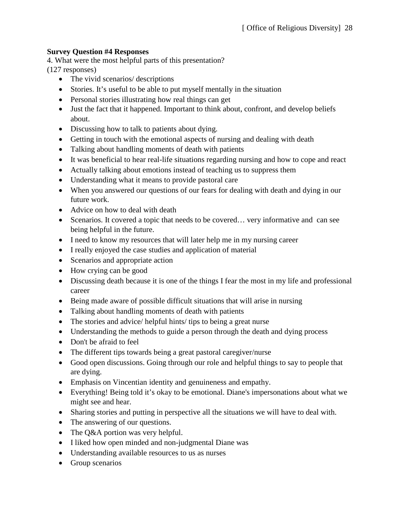# **Survey Question #4 Responses**

4. What were the most helpful parts of this presentation? (127 responses)

- The vivid scenarios/ descriptions
- Stories. It's useful to be able to put myself mentally in the situation
- Personal stories illustrating how real things can get
- Just the fact that it happened. Important to think about, confront, and develop beliefs about.
- Discussing how to talk to patients about dying.
- Getting in touch with the emotional aspects of nursing and dealing with death
- Talking about handling moments of death with patients
- It was beneficial to hear real-life situations regarding nursing and how to cope and react
- Actually talking about emotions instead of teaching us to suppress them
- Understanding what it means to provide pastoral care
- When you answered our questions of our fears for dealing with death and dying in our future work.
- Advice on how to deal with death
- Scenarios. It covered a topic that needs to be covered... very informative and can see being helpful in the future.
- I need to know my resources that will later help me in my nursing career
- I really enjoyed the case studies and application of material
- Scenarios and appropriate action
- How crying can be good
- Discussing death because it is one of the things I fear the most in my life and professional career
- Being made aware of possible difficult situations that will arise in nursing
- Talking about handling moments of death with patients
- The stories and advice/ helpful hints/ tips to being a great nurse
- Understanding the methods to guide a person through the death and dying process
- Don't be afraid to feel
- The different tips towards being a great pastoral caregiver/nurse
- Good open discussions. Going through our role and helpful things to say to people that are dying.
- Emphasis on Vincentian identity and genuineness and empathy.
- Everything! Being told it's okay to be emotional. Diane's impersonations about what we might see and hear.
- Sharing stories and putting in perspective all the situations we will have to deal with.
- The answering of our questions.
- The Q&A portion was very helpful.
- I liked how open minded and non-judgmental Diane was
- Understanding available resources to us as nurses
- Group scenarios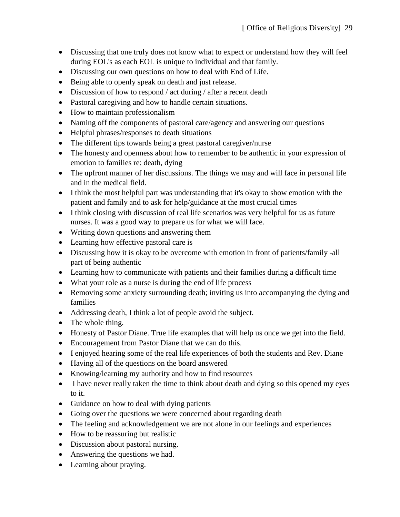- Discussing that one truly does not know what to expect or understand how they will feel during EOL's as each EOL is unique to individual and that family.
- Discussing our own questions on how to deal with End of Life.
- Being able to openly speak on death and just release.
- Discussion of how to respond / act during / after a recent death
- Pastoral caregiving and how to handle certain situations.
- How to maintain professionalism
- Naming off the components of pastoral care/agency and answering our questions
- Helpful phrases/responses to death situations
- The different tips towards being a great pastoral caregiver/nurse
- The honesty and openness about how to remember to be authentic in your expression of emotion to families re: death, dying
- The upfront manner of her discussions. The things we may and will face in personal life and in the medical field.
- I think the most helpful part was understanding that it's okay to show emotion with the patient and family and to ask for help/guidance at the most crucial times
- I think closing with discussion of real life scenarios was very helpful for us as future nurses. It was a good way to prepare us for what we will face.
- Writing down questions and answering them
- Learning how effective pastoral care is
- Discussing how it is okay to be overcome with emotion in front of patients/family -all part of being authentic
- Learning how to communicate with patients and their families during a difficult time
- What your role as a nurse is during the end of life process
- Removing some anxiety surrounding death; inviting us into accompanying the dying and families
- Addressing death, I think a lot of people avoid the subject.
- The whole thing.
- Honesty of Pastor Diane. True life examples that will help us once we get into the field.
- Encouragement from Pastor Diane that we can do this.
- I enjoyed hearing some of the real life experiences of both the students and Rev. Diane
- Having all of the questions on the board answered
- Knowing/learning my authority and how to find resources
- I have never really taken the time to think about death and dying so this opened my eyes to it.
- Guidance on how to deal with dying patients
- Going over the questions we were concerned about regarding death
- The feeling and acknowledgement we are not alone in our feelings and experiences
- How to be reassuring but realistic
- Discussion about pastoral nursing.
- Answering the questions we had.
- Learning about praying.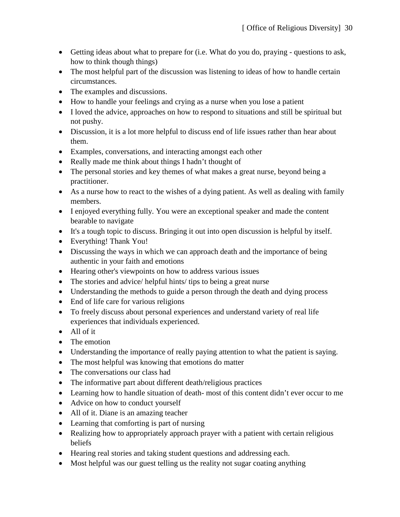- Getting ideas about what to prepare for (i.e. What do you do, praying questions to ask, how to think though things)
- The most helpful part of the discussion was listening to ideas of how to handle certain circumstances.
- The examples and discussions.
- How to handle your feelings and crying as a nurse when you lose a patient
- I loved the advice, approaches on how to respond to situations and still be spiritual but not pushy.
- Discussion, it is a lot more helpful to discuss end of life issues rather than hear about them.
- Examples, conversations, and interacting amongst each other
- Really made me think about things I hadn't thought of
- The personal stories and key themes of what makes a great nurse, beyond being a practitioner.
- As a nurse how to react to the wishes of a dying patient. As well as dealing with family members.
- I enjoyed everything fully. You were an exceptional speaker and made the content bearable to navigate
- It's a tough topic to discuss. Bringing it out into open discussion is helpful by itself.
- Everything! Thank You!
- Discussing the ways in which we can approach death and the importance of being authentic in your faith and emotions
- Hearing other's viewpoints on how to address various issues
- The stories and advice/ helpful hints/ tips to being a great nurse
- Understanding the methods to guide a person through the death and dying process
- End of life care for various religions
- To freely discuss about personal experiences and understand variety of real life experiences that individuals experienced.
- All of it
- The emotion
- Understanding the importance of really paying attention to what the patient is saying.
- The most helpful was knowing that emotions do matter
- The conversations our class had
- The informative part about different death/religious practices
- Learning how to handle situation of death-most of this content didn't ever occur to me
- Advice on how to conduct yourself
- All of it. Diane is an amazing teacher
- Learning that comforting is part of nursing
- Realizing how to appropriately approach prayer with a patient with certain religious beliefs
- Hearing real stories and taking student questions and addressing each.
- Most helpful was our guest telling us the reality not sugar coating anything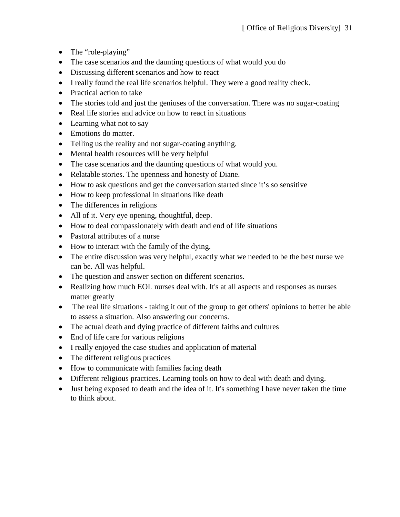- The "role-playing"
- The case scenarios and the daunting questions of what would you do
- Discussing different scenarios and how to react
- I really found the real life scenarios helpful. They were a good reality check.
- Practical action to take
- The stories told and just the geniuses of the conversation. There was no sugar-coating
- Real life stories and advice on how to react in situations
- Learning what not to say
- Emotions do matter.
- Telling us the reality and not sugar-coating anything.
- Mental health resources will be very helpful
- The case scenarios and the daunting questions of what would you.
- Relatable stories. The openness and honesty of Diane.
- How to ask questions and get the conversation started since it's so sensitive
- How to keep professional in situations like death
- The differences in religions
- All of it. Very eye opening, thoughtful, deep.
- How to deal compassionately with death and end of life situations
- Pastoral attributes of a nurse
- How to interact with the family of the dying.
- The entire discussion was very helpful, exactly what we needed to be the best nurse we can be. All was helpful.
- The question and answer section on different scenarios.
- Realizing how much EOL nurses deal with. It's at all aspects and responses as nurses matter greatly
- The real life situations taking it out of the group to get others' opinions to better be able to assess a situation. Also answering our concerns.
- The actual death and dying practice of different faiths and cultures
- End of life care for various religions
- I really enjoyed the case studies and application of material
- The different religious practices
- How to communicate with families facing death
- Different religious practices. Learning tools on how to deal with death and dying.
- Just being exposed to death and the idea of it. It's something I have never taken the time to think about.